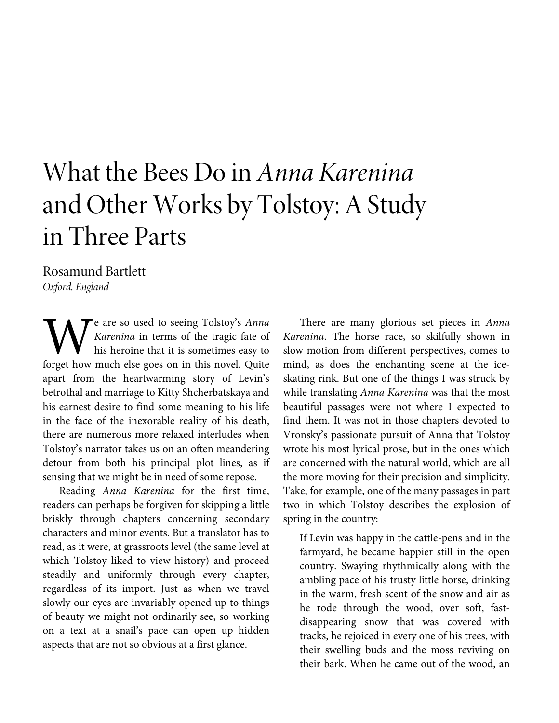# What the Bees Do in *Anna Karenina* and Other Works by Tolstoy: A Study in Three Parts

Rosamund Bartlett *Oxford, England*

e are so used to seeing Tolstoy's *Anna Karenina* in terms of the tragic fate of his heroine that it is sometimes easy to **for the Soussel of the Soussel Soussel Soussel Soussel Soussel Soussel Soussel Soussel Soussel Soussel Soussel Soussel Soussel Soussel Soussel Soussel Soussel Soussel Soussel Soussel Soussel Soussel Soussel Soussel Sousse** apart from the heartwarming story of Levin's betrothal and marriage to Kitty Shcherbatskaya and his earnest desire to find some meaning to his life in the face of the inexorable reality of his death, there are numerous more relaxed interludes when Tolstoy's narrator takes us on an often meandering detour from both his principal plot lines, as if sensing that we might be in need of some repose.

Reading *Anna Karenina* for the first time, readers can perhaps be forgiven for skipping a little briskly through chapters concerning secondary characters and minor events. But a translator has to read, as it were, at grassroots level (the same level at which Tolstoy liked to view history) and proceed steadily and uniformly through every chapter, regardless of its import. Just as when we travel slowly our eyes are invariably opened up to things of beauty we might not ordinarily see, so working on a text at a snail's pace can open up hidden aspects that are not so obvious at a first glance.

There are many glorious set pieces in *Anna Karenina*. The horse race, so skilfully shown in slow motion from different perspectives, comes to mind, as does the enchanting scene at the iceskating rink. But one of the things I was struck by while translating *Anna Karenina* was that the most beautiful passages were not where I expected to find them. It was not in those chapters devoted to Vronsky's passionate pursuit of Anna that Tolstoy wrote his most lyrical prose, but in the ones which are concerned with the natural world, which are all the more moving for their precision and simplicity. Take, for example, one of the many passages in part two in which Tolstoy describes the explosion of spring in the country:

If Levin was happy in the cattle-pens and in the farmyard, he became happier still in the open country. Swaying rhythmically along with the ambling pace of his trusty little horse, drinking in the warm, fresh scent of the snow and air as he rode through the wood, over soft, fastdisappearing snow that was covered with tracks, he rejoiced in every one of his trees, with their swelling buds and the moss reviving on their bark. When he came out of the wood, an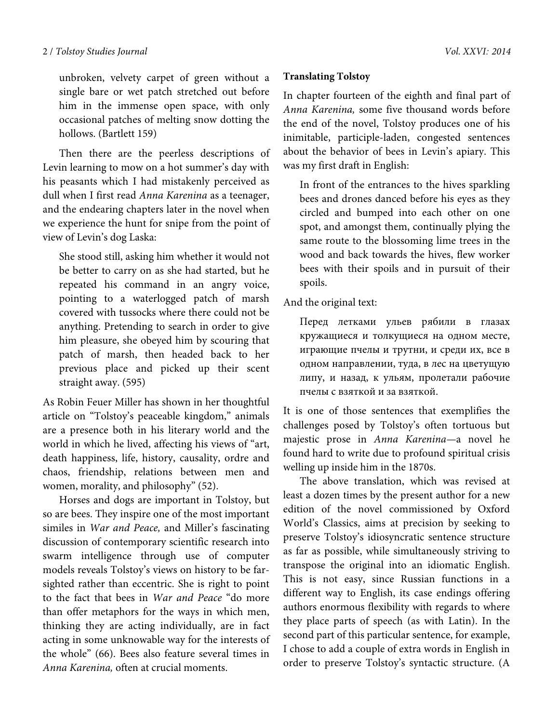unbroken, velvety carpet of green without a single bare or wet patch stretched out before him in the immense open space, with only occasional patches of melting snow dotting the hollows. (Bartlett 159)

Then there are the peerless descriptions of Levin learning to mow on a hot summer's day with his peasants which I had mistakenly perceived as dull when I first read *Anna Karenina* as a teenager, and the endearing chapters later in the novel when we experience the hunt for snipe from the point of view of Levin's dog Laska:

She stood still, asking him whether it would not be better to carry on as she had started, but he repeated his command in an angry voice, pointing to a waterlogged patch of marsh covered with tussocks where there could not be anything. Pretending to search in order to give him pleasure, she obeyed him by scouring that patch of marsh, then headed back to her previous place and picked up their scent straight away. (595)

As Robin Feuer Miller has shown in her thoughtful article on "Tolstoy's peaceable kingdom," animals are a presence both in his literary world and the world in which he lived, affecting his views of "art, death happiness, life, history, causality, ordre and chaos, friendship, relations between men and women, morality, and philosophy" (52).

Horses and dogs are important in Tolstoy, but so are bees. They inspire one of the most important similes in *War and Peace,* and Miller's fascinating discussion of contemporary scientific research into swarm intelligence through use of computer models reveals Tolstoy's views on history to be farsighted rather than eccentric. She is right to point to the fact that bees in *War and Peace* "do more than offer metaphors for the ways in which men, thinking they are acting individually, are in fact acting in some unknowable way for the interests of the whole" (66). Bees also feature several times in *Anna Karenina,* often at crucial moments.

# **Translating Tolstoy**

In chapter fourteen of the eighth and final part of *Anna Karenina,* some five thousand words before the end of the novel, Tolstoy produces one of his inimitable, participle-laden, congested sentences about the behavior of bees in Levin's apiary. This was my first draft in English:

In front of the entrances to the hives sparkling bees and drones danced before his eyes as they circled and bumped into each other on one spot, and amongst them, continually plying the same route to the blossoming lime trees in the wood and back towards the hives, flew worker bees with their spoils and in pursuit of their spoils.

# And the original text:

Перед летками ульев рябили в глазах кружащиеся и толкущиеся на одном месте, играющие пчелы и трутни, и среди их, все в одном направлении, туда, в лес на цветущую липу, и назад, к ульям, пролетали рабочие пчелы с взяткой и за взяткой.

It is one of those sentences that exemplifies the challenges posed by Tolstoy's often tortuous but majestic prose in *Anna Karenina—*a novel he found hard to write due to profound spiritual crisis welling up inside him in the 1870s.

The above translation, which was revised at least a dozen times by the present author for a new edition of the novel commissioned by Oxford World's Classics, aims at precision by seeking to preserve Tolstoy's idiosyncratic sentence structure as far as possible, while simultaneously striving to transpose the original into an idiomatic English. This is not easy, since Russian functions in a different way to English, its case endings offering authors enormous flexibility with regards to where they place parts of speech (as with Latin). In the second part of this particular sentence, for example, I chose to add a couple of extra words in English in order to preserve Tolstoy's syntactic structure. (A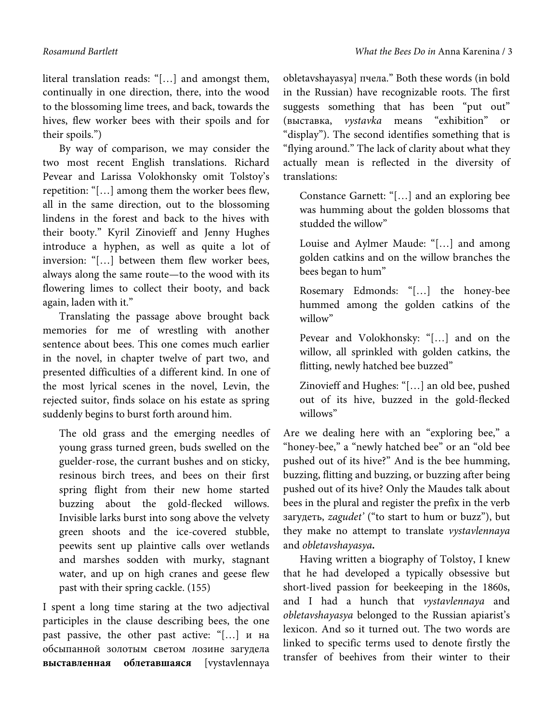literal translation reads: "[…] and amongst them, continually in one direction, there, into the wood to the blossoming lime trees, and back, towards the hives, flew worker bees with their spoils and for their spoils.")

By way of comparison, we may consider the two most recent English translations. Richard Pevear and Larissa Volokhonsky omit Tolstoy's repetition: "[…] among them the worker bees flew, all in the same direction, out to the blossoming lindens in the forest and back to the hives with their booty." Kyril Zinovieff and Jenny Hughes introduce a hyphen, as well as quite a lot of inversion: "[…] between them flew worker bees, always along the same route—to the wood with its flowering limes to collect their booty, and back again, laden with it."

Translating the passage above brought back memories for me of wrestling with another sentence about bees. This one comes much earlier in the novel, in chapter twelve of part two, and presented difficulties of a different kind. In one of the most lyrical scenes in the novel, Levin, the rejected suitor, finds solace on his estate as spring suddenly begins to burst forth around him.

The old grass and the emerging needles of young grass turned green, buds swelled on the guelder-rose, the currant bushes and on sticky, resinous birch trees, and bees on their first spring flight from their new home started buzzing about the gold-flecked willows. Invisible larks burst into song above the velvety green shoots and the ice-covered stubble, peewits sent up plaintive calls over wetlands and marshes sodden with murky, stagnant water, and up on high cranes and geese flew past with their spring cackle. (155)

I spent a long time staring at the two adjectival participles in the clause describing bees, the one past passive, the other past active: "[…] и на обсыпанной золотым светом лозине загудела **выставленная облетавшаяся** [vystavlennaya

obletavshayasya] пчела." Both these words (in bold in the Russian) have recognizable roots. The first suggests something that has been "put out" (выставка, *vystavka* means "exhibition" or "display"). The second identifies something that is "flying around." The lack of clarity about what they actually mean is reflected in the diversity of translations:

Constance Garnett: "[…] and an exploring bee was humming about the golden blossoms that studded the willow"

Louise and Aylmer Maude: "[…] and among golden catkins and on the willow branches the bees began to hum"

Rosemary Edmonds: "[…] the honey-bee hummed among the golden catkins of the willow"

Pevear and Volokhonsky: "[…] and on the willow, all sprinkled with golden catkins, the flitting, newly hatched bee buzzed"

Zinovieff and Hughes: "[…] an old bee, pushed out of its hive, buzzed in the gold-flecked willows"

Are we dealing here with an "exploring bee," a "honey-bee," a "newly hatched bee" or an "old bee pushed out of its hive?" And is the bee humming, buzzing, flitting and buzzing, or buzzing after being pushed out of its hive? Only the Maudes talk about bees in the plural and register the prefix in the verb загудеть, *zagudet'* ("to start to hum or buzz"), but they make no attempt to translate *vystavlennaya*  and *obletavshayasya.*

Having written a biography of Tolstoy, I knew that he had developed a typically obsessive but short-lived passion for beekeeping in the 1860s, and I had a hunch that *vystavlennaya* and *obletavshayasya* belonged to the Russian apiarist's lexicon. And so it turned out. The two words are linked to specific terms used to denote firstly the transfer of beehives from their winter to their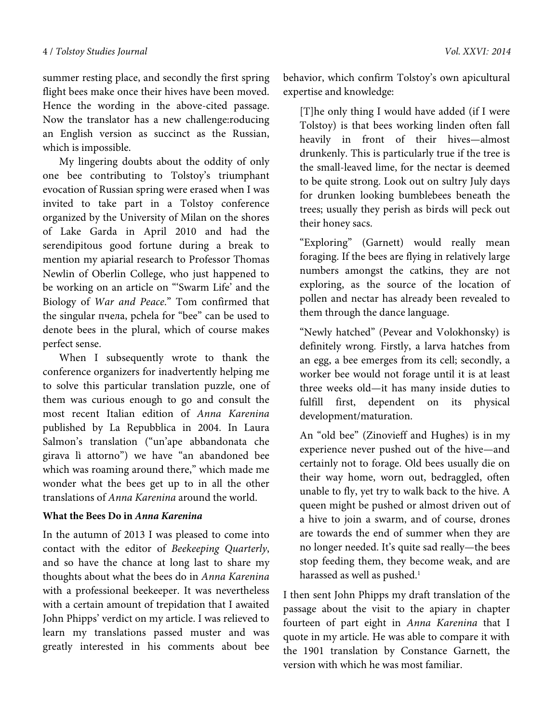summer resting place, and secondly the first spring flight bees make once their hives have been moved. Hence the wording in the above-cited passage. Now the translator has a new challenge:roducing an English version as succinct as the Russian, which is impossible.

My lingering doubts about the oddity of only one bee contributing to Tolstoy's triumphant evocation of Russian spring were erased when I was invited to take part in a Tolstoy conference organized by the University of Milan on the shores of Lake Garda in April 2010 and had the serendipitous good fortune during a break to mention my apiarial research to Professor Thomas Newlin of Oberlin College, who just happened to be working on an article on "'Swarm Life' and the Biology of *War and Peace*." Tom confirmed that the singular пчела, pchela for "bee" can be used to denote bees in the plural, which of course makes perfect sense.

When I subsequently wrote to thank the conference organizers for inadvertently helping me to solve this particular translation puzzle, one of them was curious enough to go and consult the most recent Italian edition of *Anna Karenina*  published by La Repubblica in 2004. In Laura Salmon's translation ("un'ape abbandonata che girava lì attorno") we have "an abandoned bee which was roaming around there," which made me wonder what the bees get up to in all the other translations of *Anna Karenina* around the world.

## **What the Bees Do in** *Anna Karenina*

In the autumn of 2013 I was pleased to come into contact with the editor of *Beekeeping Quarterly*, and so have the chance at long last to share my thoughts about what the bees do in *Anna Karenina*  with a professional beekeeper. It was nevertheless with a certain amount of trepidation that I awaited John Phipps' verdict on my article. I was relieved to learn my translations passed muster and was greatly interested in his comments about bee behavior, which confirm Tolstoy's own apicultural expertise and knowledge:

[T]he only thing I would have added (if I were Tolstoy) is that bees working linden often fall heavily in front of their hives—almost drunkenly. This is particularly true if the tree is the small-leaved lime, for the nectar is deemed to be quite strong. Look out on sultry July days for drunken looking bumblebees beneath the trees; usually they perish as birds will peck out their honey sacs.

"Exploring" (Garnett) would really mean foraging. If the bees are flying in relatively large numbers amongst the catkins, they are not exploring, as the source of the location of pollen and nectar has already been revealed to them through the dance language.

"Newly hatched" (Pevear and Volokhonsky) is definitely wrong. Firstly, a larva hatches from an egg, a bee emerges from its cell; secondly, a worker bee would not forage until it is at least three weeks old—it has many inside duties to fulfill first, dependent on its physical development/maturation.

An "old bee" (Zinovieff and Hughes) is in my experience never pushed out of the hive—and certainly not to forage. Old bees usually die on their way home, worn out, bedraggled, often unable to fly, yet try to walk back to the hive. A queen might be pushed or almost driven out of a hive to join a swarm, and of course, drones are towards the end of summer when they are no longer needed. It's quite sad really—the bees stop feeding them, they become weak, and are harassed as well as pushed. $^1$ 

I then sent John Phipps my draft translation of the passage about the visit to the apiary in chapter fourteen of part eight in *Anna Karenina* that I quote in my article. He was able to compare it with the 1901 translation by Constance Garnett, the version with which he was most familiar.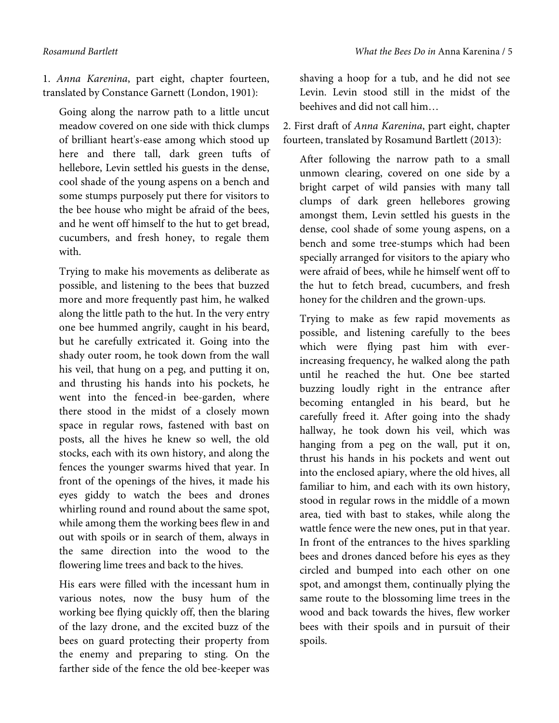1. *Anna Karenina*, part eight, chapter fourteen, translated by Constance Garnett (London, 1901):

Going along the narrow path to a little uncut meadow covered on one side with thick clumps of brilliant heart's-ease among which stood up here and there tall, dark green tufts of hellebore, Levin settled his guests in the dense, cool shade of the young aspens on a bench and some stumps purposely put there for visitors to the bee house who might be afraid of the bees, and he went off himself to the hut to get bread, cucumbers, and fresh honey, to regale them with.

Trying to make his movements as deliberate as possible, and listening to the bees that buzzed more and more frequently past him, he walked along the little path to the hut. In the very entry one bee hummed angrily, caught in his beard, but he carefully extricated it. Going into the shady outer room, he took down from the wall his veil, that hung on a peg, and putting it on, and thrusting his hands into his pockets, he went into the fenced-in bee-garden, where there stood in the midst of a closely mown space in regular rows, fastened with bast on posts, all the hives he knew so well, the old stocks, each with its own history, and along the fences the younger swarms hived that year. In front of the openings of the hives, it made his eyes giddy to watch the bees and drones whirling round and round about the same spot, while among them the working bees flew in and out with spoils or in search of them, always in the same direction into the wood to the flowering lime trees and back to the hives.

His ears were filled with the incessant hum in various notes, now the busy hum of the working bee flying quickly off, then the blaring of the lazy drone, and the excited buzz of the bees on guard protecting their property from the enemy and preparing to sting. On the farther side of the fence the old bee-keeper was

shaving a hoop for a tub, and he did not see Levin. Levin stood still in the midst of the beehives and did not call him…

2. First draft of *Anna Karenina*, part eight, chapter fourteen, translated by Rosamund Bartlett (2013):

After following the narrow path to a small unmown clearing, covered on one side by a bright carpet of wild pansies with many tall clumps of dark green hellebores growing amongst them, Levin settled his guests in the dense, cool shade of some young aspens, on a bench and some tree-stumps which had been specially arranged for visitors to the apiary who were afraid of bees, while he himself went off to the hut to fetch bread, cucumbers, and fresh honey for the children and the grown-ups.

Trying to make as few rapid movements as possible, and listening carefully to the bees which were flying past him with everincreasing frequency, he walked along the path until he reached the hut. One bee started buzzing loudly right in the entrance after becoming entangled in his beard, but he carefully freed it. After going into the shady hallway, he took down his veil, which was hanging from a peg on the wall, put it on, thrust his hands in his pockets and went out into the enclosed apiary, where the old hives, all familiar to him, and each with its own history, stood in regular rows in the middle of a mown area, tied with bast to stakes, while along the wattle fence were the new ones, put in that year. In front of the entrances to the hives sparkling bees and drones danced before his eyes as they circled and bumped into each other on one spot, and amongst them, continually plying the same route to the blossoming lime trees in the wood and back towards the hives, flew worker bees with their spoils and in pursuit of their spoils.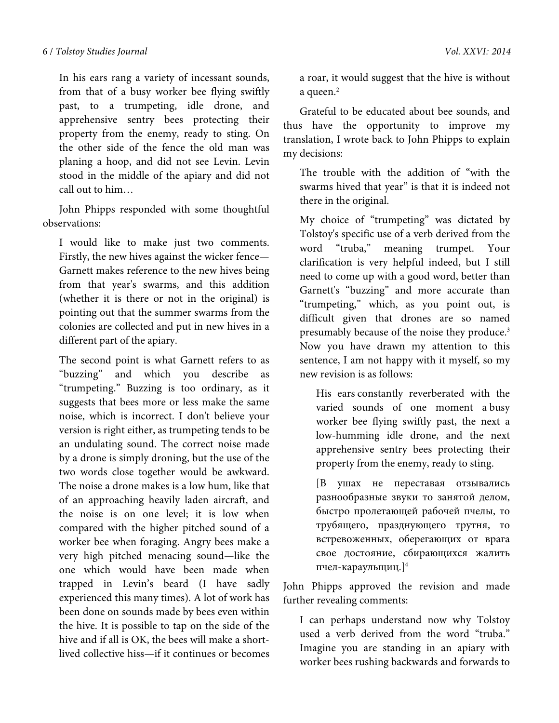In his ears rang a variety of incessant sounds, from that of a busy worker bee flying swiftly past, to a trumpeting, idle drone, and apprehensive sentry bees protecting their property from the enemy, ready to sting. On the other side of the fence the old man was planing a hoop, and did not see Levin. Levin stood in the middle of the apiary and did not call out to him…

John Phipps responded with some thoughtful observations:

I would like to make just two comments. Firstly, the new hives against the wicker fence— Garnett makes reference to the new hives being from that year's swarms, and this addition (whether it is there or not in the original) is pointing out that the summer swarms from the colonies are collected and put in new hives in a different part of the apiary.

The second point is what Garnett refers to as "buzzing" and which you describe as "trumpeting." Buzzing is too ordinary, as it suggests that bees more or less make the same noise, which is incorrect. I don't believe your version is right either, as trumpeting tends to be an undulating sound. The correct noise made by a drone is simply droning, but the use of the two words close together would be awkward. The noise a drone makes is a low hum, like that of an approaching heavily laden aircraft, and the noise is on one level; it is low when compared with the higher pitched sound of a worker bee when foraging. Angry bees make a very high pitched menacing sound—like the one which would have been made when trapped in Levin's beard (I have sadly experienced this many times). A lot of work has been done on sounds made by bees even within the hive. It is possible to tap on the side of the hive and if all is OK, the bees will make a shortlived collective hiss—if it continues or becomes a roar, it would suggest that the hive is without a queen.<sup>2</sup>

Grateful to be educated about bee sounds, and thus have the opportunity to improve my translation, I wrote back to John Phipps to explain my decisions:

The trouble with the addition of "with the swarms hived that year" is that it is indeed not there in the original.

My choice of "trumpeting" was dictated by Tolstoy's specific use of a verb derived from the word "truba," meaning trumpet. Your clarification is very helpful indeed, but I still need to come up with a good word, better than Garnett's "buzzing" and more accurate than "trumpeting," which, as you point out, is difficult given that drones are so named presumably because of the noise they produce.3 Now you have drawn my attention to this sentence, I am not happy with it myself, so my new revision is as follows:

His ears constantly reverberated with the varied sounds of one moment a busy worker bee flying swiftly past, the next a low-humming idle drone, and the next apprehensive sentry bees protecting their property from the enemy, ready to sting.

[В ушах не переставая отзывались разнообразные звуки то занятой делом, быстро пролетающей рабочей пчелы, то трубящего, празднующего трутня, то встревоженных, оберегающих от врага свое достояние, сбирающихся жалить пчел-караульщиц.]4

John Phipps approved the revision and made further revealing comments:

I can perhaps understand now why Tolstoy used a verb derived from the word "truba." Imagine you are standing in an apiary with worker bees rushing backwards and forwards to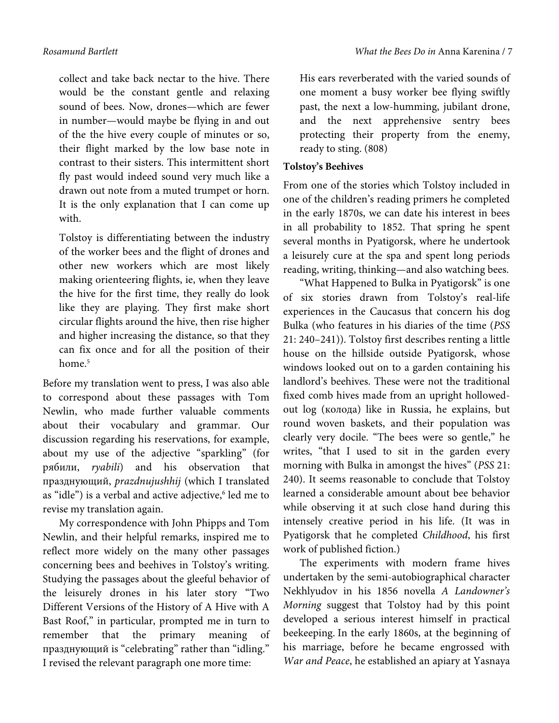collect and take back nectar to the hive. There would be the constant gentle and relaxing sound of bees. Now, drones—which are fewer in number—would maybe be flying in and out of the the hive every couple of minutes or so, their flight marked by the low base note in contrast to their sisters. This intermittent short fly past would indeed sound very much like a drawn out note from a muted trumpet or horn. It is the only explanation that I can come up with.

Tolstoy is differentiating between the industry of the worker bees and the flight of drones and other new workers which are most likely making orienteering flights, ie, when they leave the hive for the first time, they really do look like they are playing. They first make short circular flights around the hive, then rise higher and higher increasing the distance, so that they can fix once and for all the position of their home.<sup>5</sup>

Before my translation went to press, I was also able to correspond about these passages with Tom Newlin, who made further valuable comments about their vocabulary and grammar. Our discussion regarding his reservations, for example, about my use of the adjective "sparkling" (for рябили, *ryabili*) and his observation that празднующий, *prazdnujushhij* (which I translated as "idle") is a verbal and active adjective,<sup>6</sup> led me to revise my translation again.

My correspondence with John Phipps and Tom Newlin, and their helpful remarks, inspired me to reflect more widely on the many other passages concerning bees and beehives in Tolstoy's writing. Studying the passages about the gleeful behavior of the leisurely drones in his later story "Two Different Versions of the History of A Hive with A Bast Roof," in particular, prompted me in turn to remember that the primary meaning of празднующий is "celebrating" rather than "idling." I revised the relevant paragraph one more time:

His ears reverberated with the varied sounds of one moment a busy worker bee flying swiftly past, the next a low-humming, jubilant drone, and the next apprehensive sentry bees protecting their property from the enemy, ready to sting. (808)

# **Tolstoy's Beehives**

From one of the stories which Tolstoy included in one of the children's reading primers he completed in the early 1870s, we can date his interest in bees in all probability to 1852. That spring he spent several months in Pyatigorsk, where he undertook a leisurely cure at the spa and spent long periods reading, writing, thinking—and also watching bees.

"What Happened to Bulka in Pyatigorsk" is one of six stories drawn from Tolstoy's real-life experiences in the Caucasus that concern his dog Bulka (who features in his diaries of the time (*PSS*  21: 240–241)). Tolstoy first describes renting a little house on the hillside outside Pyatigorsk, whose windows looked out on to a garden containing his landlord's beehives. These were not the traditional fixed comb hives made from an upright hollowedout log (колода) like in Russia, he explains, but round woven baskets, and their population was clearly very docile. "The bees were so gentle," he writes, "that I used to sit in the garden every morning with Bulka in amongst the hives" (*PSS* 21: 240). It seems reasonable to conclude that Tolstoy learned a considerable amount about bee behavior while observing it at such close hand during this intensely creative period in his life. (It was in Pyatigorsk that he completed *Childhood*, his first work of published fiction.)

The experiments with modern frame hives undertaken by the semi-autobiographical character Nekhlyudov in his 1856 novella *A Landowner's Morning* suggest that Tolstoy had by this point developed a serious interest himself in practical beekeeping. In the early 1860s, at the beginning of his marriage, before he became engrossed with *War and Peace*, he established an apiary at Yasnaya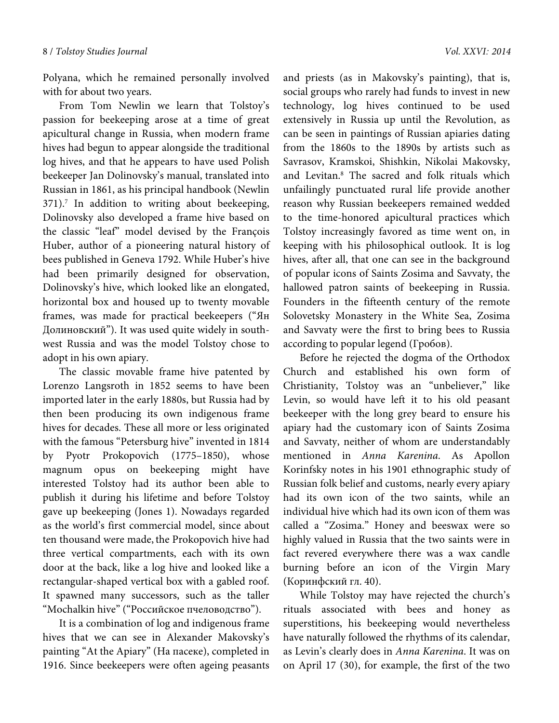Polyana, which he remained personally involved with for about two years.

From Tom Newlin we learn that Tolstoy's passion for beekeeping arose at a time of great apicultural change in Russia, when modern frame hives had begun to appear alongside the traditional log hives, and that he appears to have used Polish beekeeper Jan Dolinovsky's manual, translated into Russian in 1861, as his principal handbook (Newlin 371).<sup>7</sup> In addition to writing about beekeeping, Dolinovsky also developed a frame hive based on the classic "leaf" model devised by the François Huber, author of a pioneering natural history of bees published in Geneva 1792. While Huber's hive had been primarily designed for observation, Dolinovsky's hive, which looked like an elongated, horizontal box and housed up to twenty movable frames, was made for practical beekeepers ("Ян Долиновский"). It was used quite widely in southwest Russia and was the model Tolstoy chose to adopt in his own apiary.

The classic movable frame hive patented by Lorenzo Langsroth in 1852 seems to have been imported later in the early 1880s, but Russia had by then been producing its own indigenous frame hives for decades. These all more or less originated with the famous "Petersburg hive" invented in 1814 by Pyotr Prokopovich (1775–1850), whose magnum opus on beekeeping might have interested Tolstoy had its author been able to publish it during his lifetime and before Tolstoy gave up beekeeping (Jones 1). Nowadays regarded as the world's first commercial model, since about ten thousand were made, the Prokopovich hive had three vertical compartments, each with its own door at the back, like a log hive and looked like a rectangular-shaped vertical box with a gabled roof. It spawned many successors, such as the taller "Mochalkin hive" ("Российское пчеловодство").

It is a combination of log and indigenous frame hives that we can see in Alexander Makovsky's painting "At the Apiary" (На пасеке), completed in 1916. Since beekeepers were often ageing peasants

and priests (as in Makovsky's painting), that is, social groups who rarely had funds to invest in new technology, log hives continued to be used extensively in Russia up until the Revolution, as can be seen in paintings of Russian apiaries dating from the 1860s to the 1890s by artists such as Savrasov, Kramskoi, Shishkin, Nikolai Makovsky, and Levitan.<sup>8</sup> The sacred and folk rituals which unfailingly punctuated rural life provide another reason why Russian beekeepers remained wedded to the time-honored apicultural practices which Tolstoy increasingly favored as time went on, in keeping with his philosophical outlook. It is log hives, after all, that one can see in the background of popular icons of Saints Zosima and Savvaty, the hallowed patron saints of beekeeping in Russia. Founders in the fifteenth century of the remote Solovetsky Monastery in the White Sea, Zosima and Savvaty were the first to bring bees to Russia according to popular legend (Гробов).

Before he rejected the dogma of the Orthodox Church and established his own form of Christianity, Tolstoy was an "unbeliever," like Levin, so would have left it to his old peasant beekeeper with the long grey beard to ensure his apiary had the customary icon of Saints Zosima and Savvaty, neither of whom are understandably mentioned in *Anna Karenina*. As Apollon Korinfsky notes in his 1901 ethnographic study of Russian folk belief and customs, nearly every apiary had its own icon of the two saints, while an individual hive which had its own icon of them was called a "Zosima." Honey and beeswax were so highly valued in Russia that the two saints were in fact revered everywhere there was a wax candle burning before an icon of the Virgin Mary (Коринфский гл. 40).

While Tolstoy may have rejected the church's rituals associated with bees and honey as superstitions, his beekeeping would nevertheless have naturally followed the rhythms of its calendar, as Levin's clearly does in *Anna Karenina*. It was on on April 17 (30), for example, the first of the two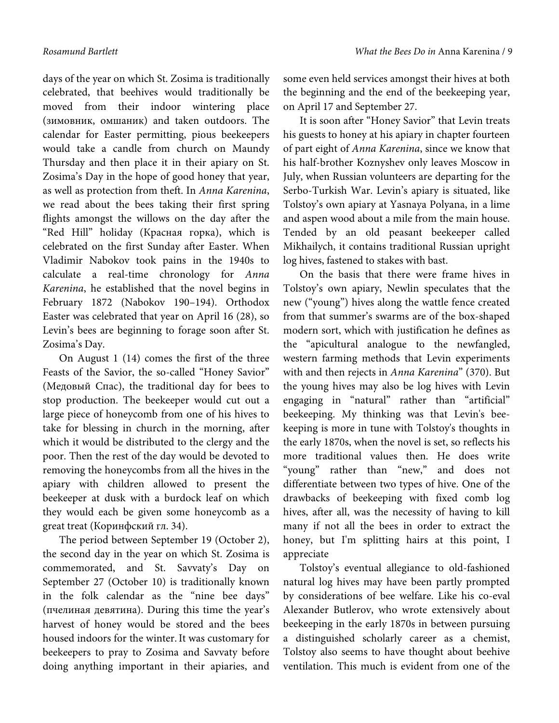days of the year on which St. Zosima is traditionally celebrated, that beehives would traditionally be moved from their indoor wintering place (зимовник, омшаник) and taken outdoors. The calendar for Easter permitting, pious beekeepers would take a candle from church on Maundy Thursday and then place it in their apiary on St. Zosima's Day in the hope of good honey that year, as well as protection from theft. In *Anna Karenina*, we read about the bees taking their first spring flights amongst the willows on the day after the "Red Hill" holiday (Красная горка), which is celebrated on the first Sunday after Easter. When Vladimir Nabokov took pains in the 1940s to calculate a real-time chronology for *Anna Karenina*, he established that the novel begins in February 1872 (Nabokov 190–194). Orthodox Easter was celebrated that year on April 16 (28), so Levin's bees are beginning to forage soon after St. Zosima's Day.

On August 1 (14) comes the first of the three Feasts of the Savior, the so-called "Honey Savior" (Медовый Спас), the traditional day for bees to stop production. The beekeeper would cut out a large piece of honeycomb from one of his hives to take for blessing in church in the morning, after which it would be distributed to the clergy and the poor. Then the rest of the day would be devoted to removing the honeycombs from all the hives in the apiary with children allowed to present the beekeeper at dusk with a burdock leaf on which they would each be given some honeycomb as a great treat (Коринфский гл. 34).

The period between September 19 (October 2), the second day in the year on which St. Zosima is commemorated, and St. Savvaty's Day on September 27 (October 10) is traditionally known in the folk calendar as the "nine bee days" (пчелиная девятина). During this time the year's harvest of honey would be stored and the bees housed indoors for the winter.It was customary for beekeepers to pray to Zosima and Savvaty before doing anything important in their apiaries, and

some even held services amongst their hives at both the beginning and the end of the beekeeping year, on April 17 and September 27.

It is soon after "Honey Savior" that Levin treats his guests to honey at his apiary in chapter fourteen of part eight of *Anna Karenina*, since we know that his half-brother Koznyshev only leaves Moscow in July, when Russian volunteers are departing for the Serbo-Turkish War. Levin's apiary is situated, like Tolstoy's own apiary at Yasnaya Polyana, in a lime and aspen wood about a mile from the main house. Tended by an old peasant beekeeper called Mikhailych, it contains traditional Russian upright log hives, fastened to stakes with bast.

On the basis that there were frame hives in Tolstoy's own apiary, Newlin speculates that the new ("young") hives along the wattle fence created from that summer's swarms are of the box-shaped modern sort, which with justification he defines as the "apicultural analogue to the newfangled, western farming methods that Levin experiments with and then rejects in *Anna Karenina*" (370). But the young hives may also be log hives with Levin engaging in "natural" rather than "artificial" beekeeping. My thinking was that Levin's beekeeping is more in tune with Tolstoy's thoughts in the early 1870s, when the novel is set, so reflects his more traditional values then. He does write "young" rather than "new," and does not differentiate between two types of hive. One of the drawbacks of beekeeping with fixed comb log hives, after all, was the necessity of having to kill many if not all the bees in order to extract the honey, but I'm splitting hairs at this point, I appreciate

Tolstoy's eventual allegiance to old-fashioned natural log hives may have been partly prompted by considerations of bee welfare. Like his co-eval Alexander Butlerov, who wrote extensively about beekeeping in the early 1870s in between pursuing a distinguished scholarly career as a chemist, Tolstoy also seems to have thought about beehive ventilation. This much is evident from one of the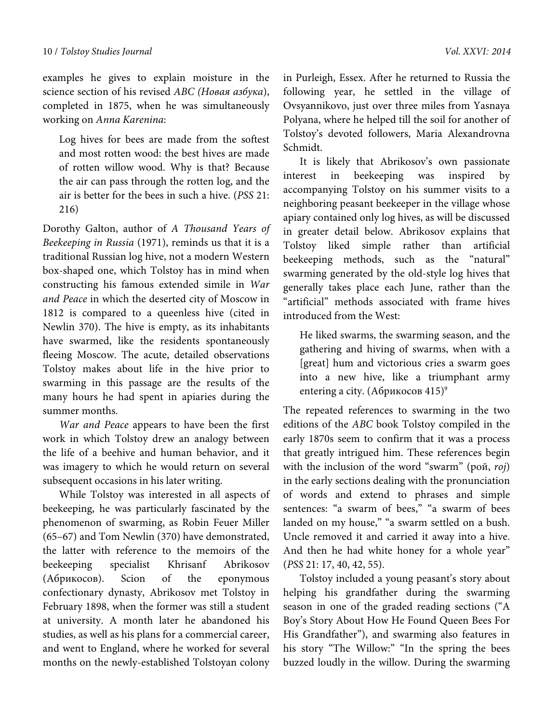examples he gives to explain moisture in the science section of his revised *ABC (Новая азбука*), completed in 1875, when he was simultaneously working on *Anna Karenina*:

Log hives for bees are made from the softest and most rotten wood: the best hives are made of rotten willow wood. Why is that? Because the air can pass through the rotten log, and the air is better for the bees in such a hive. (*PSS* 21: 216)

Dorothy Galton, author of *A Thousand Years of Beekeeping in Russia* (1971), reminds us that it is a traditional Russian log hive, not a modern Western box-shaped one, which Tolstoy has in mind when constructing his famous extended simile in *War and Peace* in which the deserted city of Moscow in 1812 is compared to a queenless hive (cited in Newlin 370). The hive is empty, as its inhabitants have swarmed, like the residents spontaneously fleeing Moscow. The acute, detailed observations Tolstoy makes about life in the hive prior to swarming in this passage are the results of the many hours he had spent in apiaries during the summer months.

*War and Peace* appears to have been the first work in which Tolstoy drew an analogy between the life of a beehive and human behavior, and it was imagery to which he would return on several subsequent occasions in his later writing.

While Tolstoy was interested in all aspects of beekeeping, he was particularly fascinated by the phenomenon of swarming, as Robin Feuer Miller (65–67) and Tom Newlin (370) have demonstrated, the latter with reference to the memoirs of the beekeeping specialist Khrisanf Abrikosov (Абрикосов). Scion of the eponymous confectionary dynasty, Abrikosov met Tolstoy in February 1898, when the former was still a student at university. A month later he abandoned his studies, as well as his plans for a commercial career, and went to England, where he worked for several months on the newly-established Tolstoyan colony

in Purleigh, Essex. After he returned to Russia the following year, he settled in the village of Ovsyannikovo, just over three miles from Yasnaya Polyana, where he helped till the soil for another of Tolstoy's devoted followers, Maria Alexandrovna Schmidt.

It is likely that Abrikosov's own passionate interest in beekeeping was inspired by accompanying Tolstoy on his summer visits to a neighboring peasant beekeeper in the village whose apiary contained only log hives, as will be discussed in greater detail below. Abrikosov explains that Tolstoy liked simple rather than artificial beekeeping methods, such as the "natural" swarming generated by the old-style log hives that generally takes place each June, rather than the "artificial" methods associated with frame hives introduced from the West:

He liked swarms, the swarming season, and the gathering and hiving of swarms, when with a [great] hum and victorious cries a swarm goes into a new hive, like a triumphant army entering a city. (Абрикосов 415)<sup>9</sup>

The repeated references to swarming in the two editions of the *ABC* book Tolstoy compiled in the early 1870s seem to confirm that it was a process that greatly intrigued him. These references begin with the inclusion of the word "swarm" (рой, *roj*) in the early sections dealing with the pronunciation of words and extend to phrases and simple sentences: "a swarm of bees," "a swarm of bees landed on my house," "a swarm settled on a bush. Uncle removed it and carried it away into a hive. And then he had white honey for a whole year" (*PSS* 21: 17, 40, 42, 55).

Tolstoy included a young peasant's story about helping his grandfather during the swarming season in one of the graded reading sections ("A Boy's Story About How He Found Queen Bees For His Grandfather"), and swarming also features in his story "The Willow:" "In the spring the bees buzzed loudly in the willow. During the swarming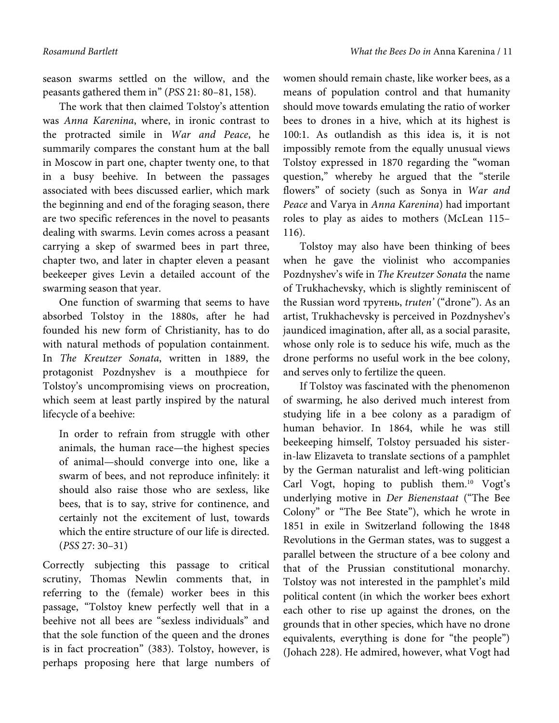season swarms settled on the willow, and the peasants gathered them in" (*PSS* 21: 80–81, 158).

The work that then claimed Tolstoy's attention was *Anna Karenina*, where, in ironic contrast to the protracted simile in *War and Peace*, he summarily compares the constant hum at the ball in Moscow in part one, chapter twenty one, to that in a busy beehive. In between the passages associated with bees discussed earlier, which mark the beginning and end of the foraging season, there are two specific references in the novel to peasants dealing with swarms. Levin comes across a peasant carrying a skep of swarmed bees in part three, chapter two, and later in chapter eleven a peasant beekeeper gives Levin a detailed account of the swarming season that year.

One function of swarming that seems to have absorbed Tolstoy in the 1880s, after he had founded his new form of Christianity, has to do with natural methods of population containment. In *The Kreutzer Sonata*, written in 1889, the protagonist Pozdnyshev is a mouthpiece for Tolstoy's uncompromising views on procreation, which seem at least partly inspired by the natural lifecycle of a beehive:

In order to refrain from struggle with other animals, the human race—the highest species of animal—should converge into one, like a swarm of bees, and not reproduce infinitely: it should also raise those who are sexless, like bees, that is to say, strive for continence, and certainly not the excitement of lust, towards which the entire structure of our life is directed. (*PSS* 27: 30–31)

Correctly subjecting this passage to critical scrutiny, Thomas Newlin comments that, in referring to the (female) worker bees in this passage, "Tolstoy knew perfectly well that in a beehive not all bees are "sexless individuals" and that the sole function of the queen and the drones is in fact procreation" (383). Tolstoy, however, is perhaps proposing here that large numbers of women should remain chaste, like worker bees, as a means of population control and that humanity should move towards emulating the ratio of worker bees to drones in a hive, which at its highest is 100:1. As outlandish as this idea is, it is not impossibly remote from the equally unusual views Tolstoy expressed in 1870 regarding the "woman question," whereby he argued that the "sterile flowers" of society (such as Sonya in *War and Peace* and Varya in *Anna Karenina*) had important roles to play as aides to mothers (McLean 115– 116).

Tolstoy may also have been thinking of bees when he gave the violinist who accompanies Pozdnyshev's wife in *The Kreutzer Sonata* the name of Trukhachevsky, which is slightly reminiscent of the Russian word трутень, *truten'* ("drone"). As an artist, Trukhachevsky is perceived in Pozdnyshev's jaundiced imagination, after all, as a social parasite, whose only role is to seduce his wife, much as the drone performs no useful work in the bee colony, and serves only to fertilize the queen.

If Tolstoy was fascinated with the phenomenon of swarming, he also derived much interest from studying life in a bee colony as a paradigm of human behavior. In 1864, while he was still beekeeping himself, Tolstoy persuaded his sisterin-law Elizaveta to translate sections of a pamphlet by the German naturalist and left-wing politician Carl Vogt, hoping to publish them.10 Vogt's underlying motive in *Der Bienenstaat* ("The Bee Colony" or "The Bee State"), which he wrote in 1851 in exile in Switzerland following the 1848 Revolutions in the German states, was to suggest a parallel between the structure of a bee colony and that of the Prussian constitutional monarchy. Tolstoy was not interested in the pamphlet's mild political content (in which the worker bees exhort each other to rise up against the drones, on the grounds that in other species, which have no drone equivalents, everything is done for "the people") (Johach 228). He admired, however, what Vogt had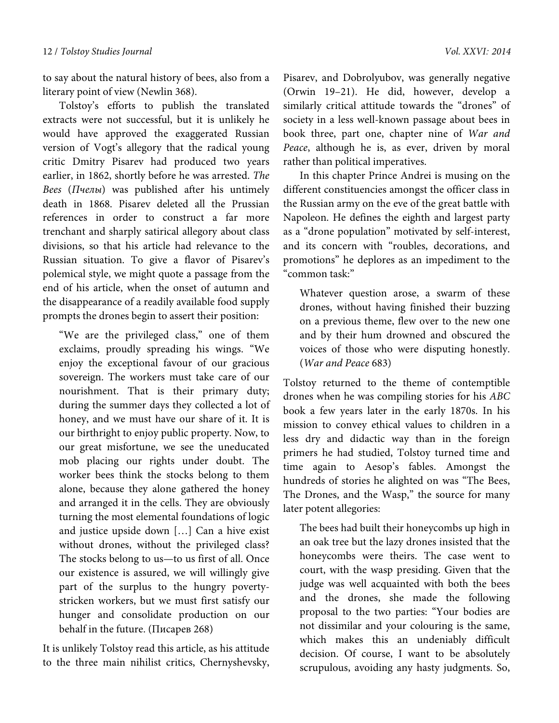to say about the natural history of bees, also from a literary point of view (Newlin 368).

Tolstoy's efforts to publish the translated extracts were not successful, but it is unlikely he would have approved the exaggerated Russian version of Vogt's allegory that the radical young critic Dmitry Pisarev had produced two years earlier, in 1862, shortly before he was arrested. *The Bees* (*Пчелы*) was published after his untimely death in 1868. Pisarev deleted all the Prussian references in order to construct a far more trenchant and sharply satirical allegory about class divisions, so that his article had relevance to the Russian situation. To give a flavor of Pisarev's polemical style, we might quote a passage from the end of his article, when the onset of autumn and the disappearance of a readily available food supply prompts the drones begin to assert their position:

"We are the privileged class," one of them exclaims, proudly spreading his wings. "We enjoy the exceptional favour of our gracious sovereign. The workers must take care of our nourishment. That is their primary duty; during the summer days they collected a lot of honey, and we must have our share of it. It is our birthright to enjoy public property. Now, to our great misfortune, we see the uneducated mob placing our rights under doubt. The worker bees think the stocks belong to them alone, because they alone gathered the honey and arranged it in the cells. They are obviously turning the most elemental foundations of logic and justice upside down […] Can a hive exist without drones, without the privileged class? The stocks belong to us—to us first of all. Once our existence is assured, we will willingly give part of the surplus to the hungry povertystricken workers, but we must first satisfy our hunger and consolidate production on our behalf in the future. (Писарев 268)

It is unlikely Tolstoy read this article, as his attitude to the three main nihilist critics, Chernyshevsky, Pisarev, and Dobrolyubov, was generally negative (Orwin 19–21). He did, however, develop a similarly critical attitude towards the "drones" of society in a less well-known passage about bees in book three, part one, chapter nine of *War and Peace*, although he is, as ever, driven by moral rather than political imperatives.

In this chapter Prince Andrei is musing on the different constituencies amongst the officer class in the Russian army on the eve of the great battle with Napoleon. He defines the eighth and largest party as a "drone population" motivated by self-interest, and its concern with "roubles, decorations, and promotions" he deplores as an impediment to the "common task:"

Whatever question arose, a swarm of these drones, without having finished their buzzing on a previous theme, flew over to the new one and by their hum drowned and obscured the voices of those who were disputing honestly. (*War and Peace* 683)

Tolstoy returned to the theme of contemptible drones when he was compiling stories for his *ABC* book a few years later in the early 1870s. In his mission to convey ethical values to children in a less dry and didactic way than in the foreign primers he had studied, Tolstoy turned time and time again to Aesop's fables. Amongst the hundreds of stories he alighted on was "The Bees, The Drones, and the Wasp," the source for many later potent allegories:

The bees had built their honeycombs up high in an oak tree but the lazy drones insisted that the honeycombs were theirs. The case went to court, with the wasp presiding. Given that the judge was well acquainted with both the bees and the drones, she made the following proposal to the two parties: "Your bodies are not dissimilar and your colouring is the same, which makes this an undeniably difficult decision. Of course, I want to be absolutely scrupulous, avoiding any hasty judgments. So,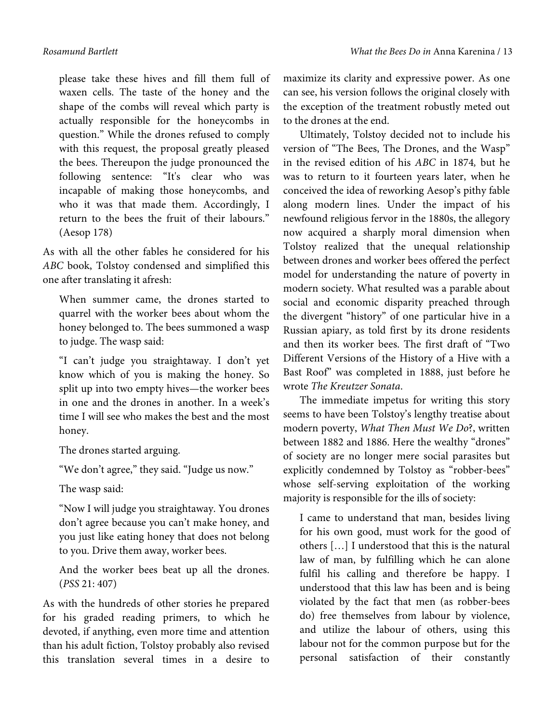please take these hives and fill them full of waxen cells. The taste of the honey and the shape of the combs will reveal which party is actually responsible for the honeycombs in question." While the drones refused to comply with this request, the proposal greatly pleased the bees. Thereupon the judge pronounced the following sentence: "It's clear who was incapable of making those honeycombs, and who it was that made them. Accordingly, I return to the bees the fruit of their labours." (Aesop 178)

As with all the other fables he considered for his *ABC* book, Tolstoy condensed and simplified this one after translating it afresh:

When summer came, the drones started to quarrel with the worker bees about whom the honey belonged to. The bees summoned a wasp to judge. The wasp said:

"I can't judge you straightaway. I don't yet know which of you is making the honey. So split up into two empty hives—the worker bees in one and the drones in another. In a week's time I will see who makes the best and the most honey.

The drones started arguing.

"We don't agree," they said. "Judge us now."

The wasp said:

"Now I will judge you straightaway. You drones don't agree because you can't make honey, and you just like eating honey that does not belong to you. Drive them away, worker bees.

And the worker bees beat up all the drones. (*PSS* 21: 407)

As with the hundreds of other stories he prepared for his graded reading primers, to which he devoted, if anything, even more time and attention than his adult fiction, Tolstoy probably also revised this translation several times in a desire to

maximize its clarity and expressive power. As one can see, his version follows the original closely with the exception of the treatment robustly meted out to the drones at the end.

Ultimately, Tolstoy decided not to include his version of "The Bees, The Drones, and the Wasp" in the revised edition of his *ABC* in 1874*,* but he was to return to it fourteen years later, when he conceived the idea of reworking Aesop's pithy fable along modern lines. Under the impact of his newfound religious fervor in the 1880s, the allegory now acquired a sharply moral dimension when Tolstoy realized that the unequal relationship between drones and worker bees offered the perfect model for understanding the nature of poverty in modern society. What resulted was a parable about social and economic disparity preached through the divergent "history" of one particular hive in a Russian apiary, as told first by its drone residents and then its worker bees. The first draft of "Two Different Versions of the History of a Hive with a Bast Roof" was completed in 1888, just before he wrote *The Kreutzer Sonata*.

The immediate impetus for writing this story seems to have been Tolstoy's lengthy treatise about modern poverty, *What Then Must We Do*?, written between 1882 and 1886. Here the wealthy "drones" of society are no longer mere social parasites but explicitly condemned by Tolstoy as "robber-bees" whose self-serving exploitation of the working majority is responsible for the ills of society:

I came to understand that man, besides living for his own good, must work for the good of others […] I understood that this is the natural law of man, by fulfilling which he can alone fulfil his calling and therefore be happy. I understood that this law has been and is being violated by the fact that men (as robber-bees do) free themselves from labour by violence, and utilize the labour of others, using this labour not for the common purpose but for the personal satisfaction of their constantly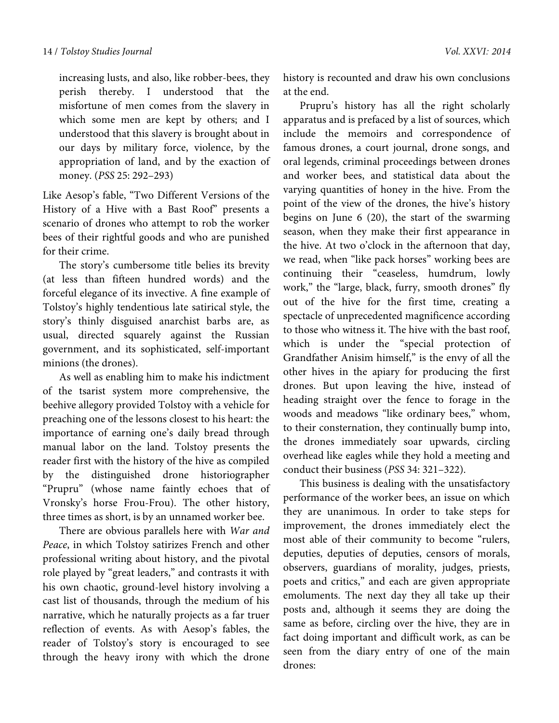increasing lusts, and also, like robber-bees, they perish thereby. I understood that the misfortune of men comes from the slavery in which some men are kept by others; and I understood that this slavery is brought about in our days by military force, violence, by the appropriation of land, and by the exaction of money. (*PSS* 25: 292–293)

Like Aesop's fable, "Two Different Versions of the History of a Hive with a Bast Roof" presents a scenario of drones who attempt to rob the worker bees of their rightful goods and who are punished for their crime.

The story's cumbersome title belies its brevity (at less than fifteen hundred words) and the forceful elegance of its invective. A fine example of Tolstoy's highly tendentious late satirical style, the story's thinly disguised anarchist barbs are, as usual, directed squarely against the Russian government, and its sophisticated, self-important minions (the drones).

As well as enabling him to make his indictment of the tsarist system more comprehensive, the beehive allegory provided Tolstoy with a vehicle for preaching one of the lessons closest to his heart: the importance of earning one's daily bread through manual labor on the land. Tolstoy presents the reader first with the history of the hive as compiled by the distinguished drone historiographer "Prupru" (whose name faintly echoes that of Vronsky's horse Frou-Frou). The other history, three times as short, is by an unnamed worker bee.

There are obvious parallels here with *War and Peace*, in which Tolstoy satirizes French and other professional writing about history, and the pivotal role played by "great leaders," and contrasts it with his own chaotic, ground-level history involving a cast list of thousands, through the medium of his narrative, which he naturally projects as a far truer reflection of events. As with Aesop's fables, the reader of Tolstoy's story is encouraged to see through the heavy irony with which the drone

history is recounted and draw his own conclusions at the end.

Prupru's history has all the right scholarly apparatus and is prefaced by a list of sources, which include the memoirs and correspondence of famous drones, a court journal, drone songs, and oral legends, criminal proceedings between drones and worker bees, and statistical data about the varying quantities of honey in the hive. From the point of the view of the drones, the hive's history begins on June 6 (20), the start of the swarming season, when they make their first appearance in the hive. At two o'clock in the afternoon that day, we read, when "like pack horses" working bees are continuing their "ceaseless, humdrum, lowly work," the "large, black, furry, smooth drones" fly out of the hive for the first time, creating a spectacle of unprecedented magnificence according to those who witness it. The hive with the bast roof, which is under the "special protection of Grandfather Anisim himself," is the envy of all the other hives in the apiary for producing the first drones. But upon leaving the hive, instead of heading straight over the fence to forage in the woods and meadows "like ordinary bees," whom, to their consternation, they continually bump into, the drones immediately soar upwards, circling overhead like eagles while they hold a meeting and conduct their business (*PSS* 34: 321–322).

This business is dealing with the unsatisfactory performance of the worker bees, an issue on which they are unanimous. In order to take steps for improvement, the drones immediately elect the most able of their community to become "rulers, deputies, deputies of deputies, censors of morals, observers, guardians of morality, judges, priests, poets and critics," and each are given appropriate emoluments. The next day they all take up their posts and, although it seems they are doing the same as before, circling over the hive, they are in fact doing important and difficult work, as can be seen from the diary entry of one of the main drones: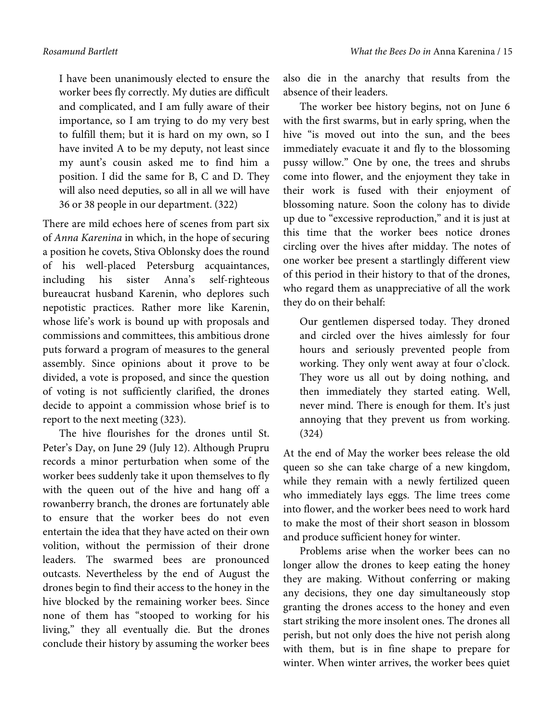I have been unanimously elected to ensure the worker bees fly correctly. My duties are difficult and complicated, and I am fully aware of their importance, so I am trying to do my very best to fulfill them; but it is hard on my own, so I have invited A to be my deputy, not least since my aunt's cousin asked me to find him a position. I did the same for B, C and D. They will also need deputies, so all in all we will have 36 or 38 people in our department. (322)

There are mild echoes here of scenes from part six of *Anna Karenina* in which, in the hope of securing a position he covets, Stiva Oblonsky does the round of his well-placed Petersburg acquaintances, including his sister Anna's self-righteous bureaucrat husband Karenin, who deplores such nepotistic practices. Rather more like Karenin, whose life's work is bound up with proposals and commissions and committees, this ambitious drone puts forward a program of measures to the general assembly. Since opinions about it prove to be divided, a vote is proposed, and since the question of voting is not sufficiently clarified, the drones decide to appoint a commission whose brief is to report to the next meeting (323).

The hive flourishes for the drones until St. Petеr's Day, on June 29 (July 12). Although Prupru records a minor perturbation when some of the worker bees suddenly take it upon themselves to fly with the queen out of the hive and hang off a rowanberry branch, the drones are fortunately able to ensure that the worker bees do not even entertain the idea that they have acted on their own volition, without the permission of their drone leaders. The swarmed bees are pronounced outcasts. Nevertheless by the end of August the drones begin to find their access to the honey in the hive blocked by the remaining worker bees. Since none of them has "stooped to working for his living," they all eventually die. But the drones conclude their history by assuming the worker bees

also die in the anarchy that results from the absence of their leaders.

The worker bee history begins, not on June 6 with the first swarms, but in early spring, when the hive "is moved out into the sun, and the bees immediately evacuate it and fly to the blossoming pussy willow." One by one, the trees and shrubs come into flower, and the enjoyment they take in their work is fused with their enjoyment of blossoming nature. Soon the colony has to divide up due to "excessive reproduction," and it is just at this time that the worker bees notice drones circling over the hives after midday. The notes of one worker bee present a startlingly different view of this period in their history to that of the drones, who regard them as unappreciative of all the work they do on their behalf:

Our gentlemen dispersed today. They droned and circled over the hives aimlessly for four hours and seriously prevented people from working. They only went away at four o'clock. They wore us all out by doing nothing, and then immediately they started eating. Well, never mind. There is enough for them. It's just annoying that they prevent us from working. (324)

At the end of May the worker bees release the old queen so she can take charge of a new kingdom, while they remain with a newly fertilized queen who immediately lays eggs. The lime trees come into flower, and the worker bees need to work hard to make the most of their short season in blossom and produce sufficient honey for winter.

Problems arise when the worker bees can no longer allow the drones to keep eating the honey they are making. Without conferring or making any decisions, they one day simultaneously stop granting the drones access to the honey and even start striking the more insolent ones. The drones all perish, but not only does the hive not perish along with them, but is in fine shape to prepare for winter. When winter arrives, the worker bees quiet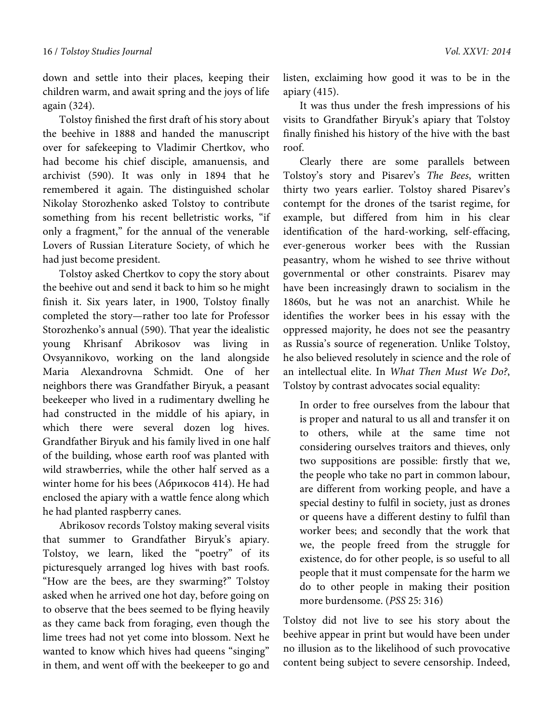down and settle into their places, keeping their children warm, and await spring and the joys of life again (324).

Tolstoy finished the first draft of his story about the beehive in 1888 and handed the manuscript over for safekeeping to Vladimir Chertkov, who had become his chief disciple, amanuensis, and archivist (590). It was only in 1894 that he remembered it again. The distinguished scholar Nikolay Storozhenko asked Tolstoy to contribute something from his recent belletristic works, "if only a fragment," for the annual of the venerable Lovers of Russian Literature Society, of which he had just become president.

Tolstoy asked Chertkov to copy the story about the beehive out and send it back to him so he might finish it. Six years later, in 1900, Tolstoy finally completed the story—rather too late for Professor Storozhenko's annual (590). That year the idealistic young Khrisanf Abrikosov was living in Ovsyannikovo, working on the land alongside Maria Alexandrovna Schmidt. One of her neighbors there was Grandfather Biryuk, a peasant beekeeper who lived in a rudimentary dwelling he had constructed in the middle of his apiary, in which there were several dozen log hives. Grandfather Biryuk and his family lived in one half of the building, whose earth roof was planted with wild strawberries, while the other half served as a winter home for his bees (Абрикосов 414). He had enclosed the apiary with a wattle fence along which he had planted raspberry canes.

Abrikosov records Tolstoy making several visits that summer to Grandfather Biryuk's apiary. Tolstoy, we learn, liked the "poetry" of its picturesquely arranged log hives with bast roofs. "How are the bees, are they swarming?" Tolstoy asked when he arrived one hot day, before going on to observe that the bees seemed to be flying heavily as they came back from foraging, even though the lime trees had not yet come into blossom. Next he wanted to know which hives had queens "singing" in them, and went off with the beekeeper to go and listen, exclaiming how good it was to be in the apiary (415).

It was thus under the fresh impressions of his visits to Grandfather Biryuk's apiary that Tolstoy finally finished his history of the hive with the bast roof.

Clearly there are some parallels between Tolstoy's story and Pisarev's *The Bees*, written thirty two years earlier. Tolstoy shared Pisarev's contempt for the drones of the tsarist regime, for example, but differed from him in his clear identification of the hard-working, self-effacing, ever-generous worker bees with the Russian peasantry, whom he wished to see thrive without governmental or other constraints. Pisarev may have been increasingly drawn to socialism in the 1860s, but he was not an anarchist. While he identifies the worker bees in his essay with the oppressed majority, he does not see the peasantry as Russia's source of regeneration. Unlike Tolstoy, he also believed resolutely in science and the role of an intellectual elite. In *What Then Must We Do?*, Tolstoy by contrast advocates social equality:

In order to free ourselves from the labour that is proper and natural to us all and transfer it on to others, while at the same time not considering ourselves traitors and thieves, only two suppositions are possible: firstly that we, the people who take no part in common labour, are different from working people, and have a special destiny to fulfil in society, just as drones or queens have a different destiny to fulfil than worker bees; and secondly that the work that we, the people freed from the struggle for existence, do for other people, is so useful to all people that it must compensate for the harm we do to other people in making their position more burdensome. (*PSS* 25: 316)

Tolstoy did not live to see his story about the beehive appear in print but would have been under no illusion as to the likelihood of such provocative content being subject to severe censorship. Indeed,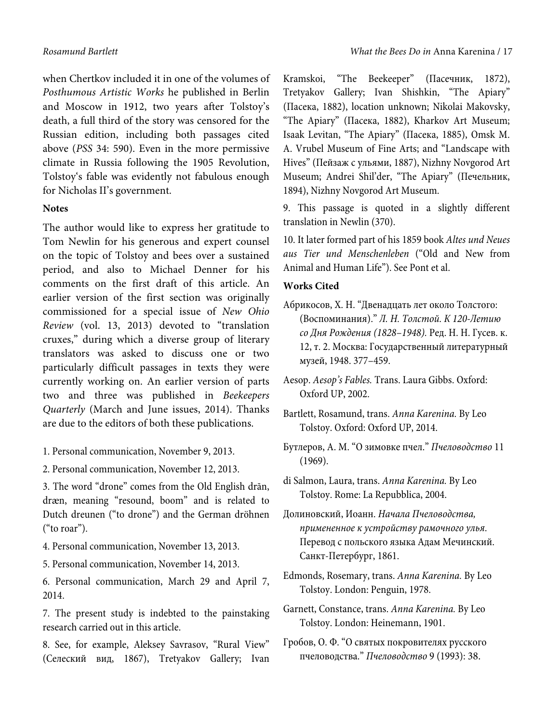when Chertkov included it in one of the volumes of *Posthumous Artistic Works* he published in Berlin and Moscow in 1912, two years after Tolstoy's death, a full third of the story was censored for the Russian edition, including both passages cited above (*PSS* 34: 590). Even in the more permissive climate in Russia following the 1905 Revolution, Tolstoy's fable was evidently not fabulous enough for Nicholas II's government.

# **Notes**

The author would like to express her gratitude to Tom Newlin for his generous and expert counsel on the topic of Tolstoy and bees over a sustained period, and also to Michael Denner for his comments on the first draft of this article. An earlier version of the first section was originally commissioned for a special issue of *New Ohio Review* (vol. 13, 2013) devoted to "translation cruxes," during which a diverse group of literary translators was asked to discuss one or two particularly difficult passages in texts they were currently working on. An earlier version of parts two and three was published in *Beekeepers Quarterly* (March and June issues, 2014). Thanks are due to the editors of both these publications.

- 1. Personal communication, November 9, 2013.
- 2. Personal communication, November 12, 2013.
- 3. The word "drone" comes from the Old English drān, dræn, meaning "resound, boom" and is related to Dutch dreunen ("to drone") and the German dröhnen ("to roar").
- 4. Personal communication, November 13, 2013.
- 5. Personal communication, November 14, 2013.
- 6. Personal communication, March 29 and April 7, 2014.
- 7. The present study is indebted to the painstaking research carried out in this article.
- 8. See, for example, Aleksey Savrasov, "Rural View" (Селеский вид, 1867), Tretyakov Gallery; Ivan

Kramskoi, "The Beekeeper" (Пасечник, 1872), Tretyakov Gallery; Ivan Shishkin, "The Apiary" (Пасека, 1882), location unknown; Nikolai Makovsky, "The Apiary" (Пасека, 1882), Kharkov Art Museum; Isaak Levitan, "The Apiary" (Пасека, 1885), Omsk M. A. Vrubel Museum of Fine Arts; and "Landscape with Hives" (Пейзаж с ульями, 1887), Nizhny Novgorod Art Museum; Andrei Shil'der, "The Apiary" (Печельник, 1894), Nizhny Novgorod Art Museum.

9. This passage is quoted in a slightly different translation in Newlin (370).

10. It later formed part of his 1859 book *Altes und Neues aus Tier und Menschenleben* ("Old and New from Animal and Human Life"). See Pont et al.

# **Works Cited**

- Абрикосов, Х. Н. "Двенадцать лет около Толстого: (Воспоминания)." *Л. Н. Толстой. К 120-Летию со Дня Рождения (1828–1948).* Ред. Н. Н. Гусев. к. 12, т. 2. Москва: Государственный литературный музей, 1948. 377–459.
- Aesop. *Aesop's Fables.* Trans. Laura Gibbs. Oxford: Oxford UP, 2002.
- Bartlett, Rosamund, trans. *Anna Karenina.* By Leo Tolstoy. Oxford: Oxford UP, 2014.
- Бутлеров, А. М. "О зимовке пчел." *Пчеловодство* 11 (1969).

di Salmon, Laura, trans. *Anna Karenina.* By Leo Tolstoy. Rome: La Repubblica, 2004.

- Долиновский, Иоанн. *Начала Пчеловодства, примененное к устройству рамочного улья*. Перевод с польского языка Адам Мечинский. Санкт-Петербург, 1861.
- Edmonds, Rosemary, trans. *Anna Karenina.* By Leo Tolstoy. London: Penguin, 1978.
- Garnett, Constance, trans. *Anna Karenina.* By Leo Tolstoy. London: Heinemann, 1901.
- Гробов, О. Ф. "О святых покровителях русского пчеловодства." *Пчеловодство* 9 (1993): 38.